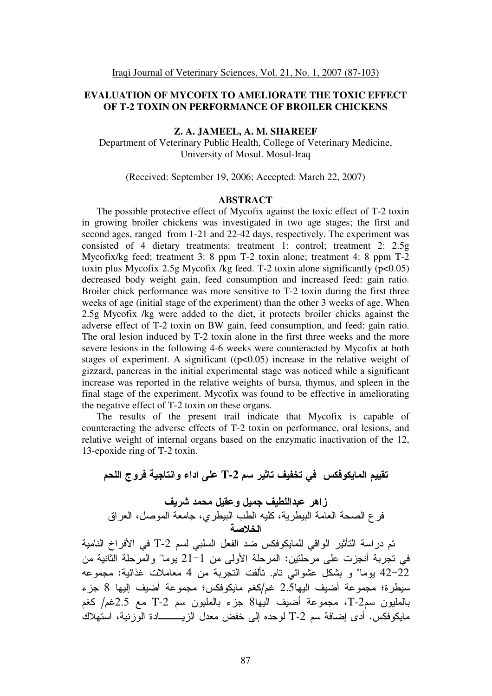# **EVALUATION OF MYCOFIX TO AMELIORATE THE TOXIC EFFECT OF T-2 TOXIN ON PERFORMANCE OF BROILER CHICKENS**

## **Z. A. JAMEEL, A. M. SHAREEF**

Department of Veterinary Public Health, College of Veterinary Medicine, University of Mosul. Mosul-Iraq

(Received: September 19, 2006; Accepted: March 22, 2007)

#### **ABSTRACT**

The possible protective effect of Mycofix against the toxic effect of T-2 toxin in growing broiler chickens was investigated in two age stages; the first and second ages, ranged from 1-21 and 22-42 days, respectively. The experiment was consisted of 4 dietary treatments: treatment 1: control; treatment 2: 2.5g Mycofix/kg feed; treatment 3: 8 ppm T-2 toxin alone; treatment 4: 8 ppm T-2 toxin plus Mycofix 2.5g Mycofix /kg feed. T-2 toxin alone significantly  $(p<0.05)$ decreased body weight gain, feed consumption and increased feed: gain ratio. Broiler chick performance was more sensitive to T-2 toxin during the first three weeks of age (initial stage of the experiment) than the other 3 weeks of age. When 2.5g Mycofix /kg were added to the diet, it protects broiler chicks against the adverse effect of T-2 toxin on BW gain, feed consumption, and feed: gain ratio. The oral lesion induced by T-2 toxin alone in the first three weeks and the more severe lesions in the following 4-6 weeks were counteracted by Mycofix at both stages of experiment. A significant  $((p<0.05)$  increase in the relative weight of gizzard, pancreas in the initial experimental stage was noticed while a significant increase was reported in the relative weights of bursa, thymus, and spleen in the final stage of the experiment. Mycofix was found to be effective in ameliorating the negative effect of T-2 toxin on these organs.

The results of the present trail indicate that Mycofix is capable of counteracting the adverse effects of T-2 toxin on performance, oral lesions, and relative weight of internal organs based on the enzymatic inactivation of the 12, 13-epoxide ring of T-2 toxin.

تقييم المايكوفكس في تخفيف تاثير سم T-2 على اداء وانتاجية فروج اللحم زاهر عبداللطيف جميل وعقيل محمد شريف فر ع الصحة العامة البيطرية، كليه الطب البيطري، جامعة الموصل، العراق الخلاصة تم در اسة التأثير الواقي للمايكوفكس ضد الفعل السلبي لسم T-2 في الأفر اخ النامية في تجربة أنجزت على مرحلتين: المرحلة الأولى من 1–21 يوما" والمرحلة الثّانية من 42-22 يوما" و بشكل عشوائي تام. تألفت التجربة من 4 معاملات غذائية: مجموعه سيطرة؛ مجموعة أضيف اليها3.5 غم/كغم مايكوفكس؛ مجموعة أضيف إليها 8 جزء بالمليون سم2-T، مجموعة أضيف اليها8 جزء بالمليون سم T-2 مع 2.5غم/ كغم مايكوفكس. أدى إضافة سم T-2 لوحده إلى خفض معدل الزيـــــــــادة الوزنية، استهلاك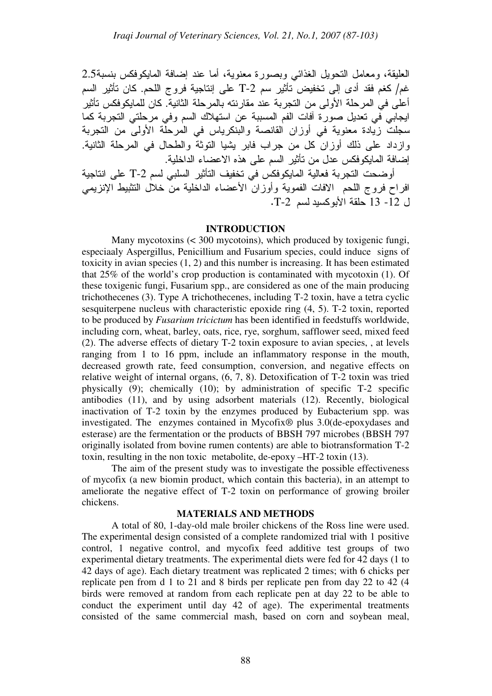العليقة، ومعامل النحويل الغذائـي وبصورة معنوية، أما عند إضافة المايكوفكس بنسبة2.5 غم/ كغم فقد أدى إلى تخفيض تأثير سم T-2 على إنتاجية فروج اللحم. كان تأثير السم أعلى في المرحلة الأولى من النجربة عند مقارنته بالمرحلة الثانية. كان للمايكوفكس تأثير ايجابي في تعديل صورة أفات الفم المسببة عن استهلاك السم وفي مرحلتي التجربة كما سجلت زيادة معنوية في أوزان القانصة والبنكرياس في المرحلة الأولى من التجربة وازداد على ذلك أوزان كل من جراب فابر يشيا التوثة والطحال في المرحلة الثانية. إضافة المايكوفكس عدل من تأثير السم على هذه الاعضاء الداخلية.

أوضحت التجربة فعالية المايكوفكس في تخفيف التأثير السلبي لسم T-2 على انتاجية افراح فروج اللحم الافات الفموية وأوزان الأعضاء الداخلية من خلال التثبيط الإنزيمي ل 12- 13 حلقة الأبوكسيد لسم T-2.

## **INTRODUCTION**

 Many mycotoxins (< 300 mycotoins), which produced by toxigenic fungi, especiaaly Aspergillus, Penicillium and Fusarium species, could induce signs of toxicity in avian species (1, 2) and this number is increasing. It has been estimated that 25% of the world's crop production is contaminated with mycotoxin (1). Of these toxigenic fungi, Fusarium spp., are considered as one of the main producing trichothecenes (3). Type A trichothecenes, including T-2 toxin, have a tetra cyclic sesquiterpene nucleus with characteristic epoxide ring (4, 5). T-2 toxin, reported to be produced by *Fusarium tricictum* has been identified in feedstuffs worldwide, including corn, wheat, barley, oats, rice, rye, sorghum, safflower seed, mixed feed (2). The adverse effects of dietary T-2 toxin exposure to avian species, , at levels ranging from 1 to 16 ppm, include an inflammatory response in the mouth, decreased growth rate, feed consumption, conversion, and negative effects on relative weight of internal organs, (6, 7, 8). Detoxification of T-2 toxin was tried physically (9); chemically (10); by administration of specific T-2 specific antibodies (11), and by using adsorbent materials (12). Recently, biological inactivation of T-2 toxin by the enzymes produced by Eubacterium spp. was investigated. The enzymes contained in Mycofix® plus 3.0(de-epoxydases and esterase) are the fermentation or the products of BBSH 797 microbes (BBSH 797 originally isolated from bovine rumen contents) are able to biotransformation T-2 toxin, resulting in the non toxic metabolite, de-epoxy –HT-2 toxin (13).

The aim of the present study was to investigate the possible effectiveness of mycofix (a new biomin product, which contain this bacteria), in an attempt to ameliorate the negative effect of T-2 toxin on performance of growing broiler chickens.

# **MATERIALS AND METHODS**

A total of 80, 1-day-old male broiler chickens of the Ross line were used. The experimental design consisted of a complete randomized trial with 1 positive control, 1 negative control, and mycofix feed additive test groups of two experimental dietary treatments. The experimental diets were fed for 42 days (1 to 42 days of age). Each dietary treatment was replicated 2 times; with 6 chicks per replicate pen from d 1 to 21 and 8 birds per replicate pen from day 22 to 42 (4 birds were removed at random from each replicate pen at day 22 to be able to conduct the experiment until day 42 of age). The experimental treatments consisted of the same commercial mash, based on corn and soybean meal,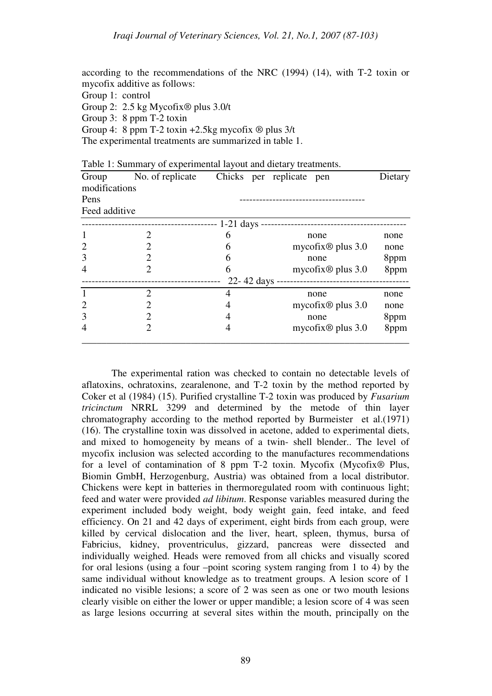according to the recommendations of the NRC (1994) (14), with T-2 toxin or mycofix additive as follows: Group 1: control Group 2: 2.5 kg Mycofix® plus 3.0/t Group 3: 8 ppm T-2 toxin Group 4: 8 ppm T-2 toxin  $+2.5$ kg mycofix  $\circledR$  plus  $3/t$ The experimental treatments are summarized in table 1.

| Group         | No. of replicate            |                | Chicks per replicate pen   | Dietary |
|---------------|-----------------------------|----------------|----------------------------|---------|
| modifications |                             |                |                            |         |
| Pens          |                             |                |                            |         |
| Feed additive |                             |                |                            |         |
|               |                             | $-1-21$ days   |                            |         |
|               |                             | 6              | none                       | none    |
| 2             |                             | 6              | mycofix $\otimes$ plus 3.0 | none    |
| 3             | $\mathcal{D}_{\mathcal{L}}$ | 6              | none                       | 8ppm    |
| 4             |                             | 6              | mycofix $\otimes$ plus 3.0 | 8ppm    |
|               |                             | $22 - 42$ days |                            |         |
|               | $\mathcal{D}$               | 4              | none                       | none    |
| 2             | 2                           |                | mycofix $\otimes$ plus 3.0 | none    |
| 3             | 2                           |                | none                       | 8ppm    |
|               |                             |                | mycofix $\otimes$ plus 3.0 | 8ppm    |
|               |                             |                |                            |         |

Table 1: Summary of experimental layout and dietary treatments.

The experimental ration was checked to contain no detectable levels of aflatoxins, ochratoxins, zearalenone, and T-2 toxin by the method reported by Coker et al (1984) (15). Purified crystalline T-2 toxin was produced by *Fusarium tricinctum* NRRL 3299 and determined by the metode of thin layer chromatography according to the method reported by Burmeister et al.(1971) (16). The crystalline toxin was dissolved in acetone, added to experimental diets, and mixed to homogeneity by means of a twin- shell blender.. The level of mycofix inclusion was selected according to the manufactures recommendations for a level of contamination of 8 ppm T-2 toxin. Mycofix (Mycofix® Plus, Biomin GmbH, Herzogenburg, Austria) was obtained from a local distributor. Chickens were kept in batteries in thermoregulated room with continuous light; feed and water were provided *ad libitum*. Response variables measured during the experiment included body weight, body weight gain, feed intake, and feed efficiency. On 21 and 42 days of experiment, eight birds from each group, were killed by cervical dislocation and the liver, heart, spleen, thymus, bursa of Fabricius, kidney, proventriculus, gizzard, pancreas were dissected and individually weighed. Heads were removed from all chicks and visually scored for oral lesions (using a four –point scoring system ranging from 1 to 4) by the same individual without knowledge as to treatment groups. A lesion score of 1 indicated no visible lesions; a score of 2 was seen as one or two mouth lesions clearly visible on either the lower or upper mandible; a lesion score of 4 was seen as large lesions occurring at several sites within the mouth, principally on the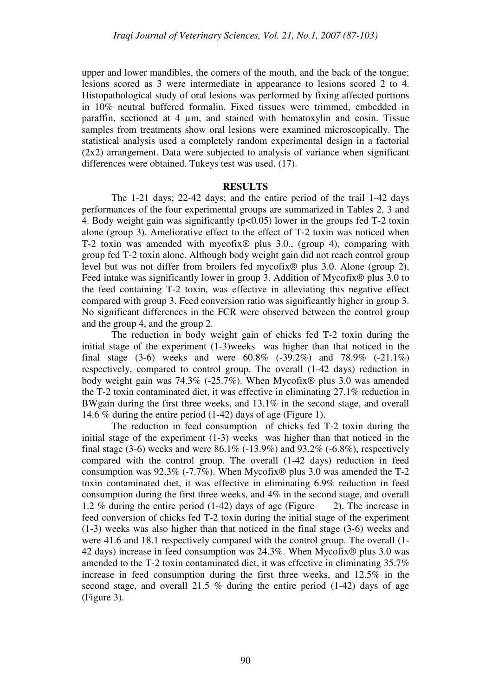upper and lower mandibles, the corners of the mouth, and the back of the tongue; lesions scored as 3 were intermediate in appearance to lesions scored 2 to 4. Histopathological study of oral lesions was performed by fixing affected portions in 10% neutral buffered formalin. Fixed tissues were trimmed, embedded in paraffin, sectioned at 4 µm, and stained with hematoxylin and eosin. Tissue samples from treatments show oral lesions were examined microscopically. The statistical analysis used a completely random experimental design in a factorial (2x2) arrangement. Data were subjected to analysis of variance when significant differences were obtained. Tukeys test was used. (17).

### **RESULTS**

The 1-21 days; 22-42 days; and the entire period of the trail 1-42 days performances of the four experimental groups are summarized in Tables 2, 3 and 4. Body weight gain was significantly (p<0.05) lower in the groups fed T-2 toxin alone (group 3). Ameliorative effect to the effect of T-2 toxin was noticed when T-2 toxin was amended with mycofix® plus 3.0., (group 4), comparing with group fed T-2 toxin alone. Although body weight gain did not reach control group level but was not differ from broilers fed mycofix® plus 3.0. Alone (group 2), Feed intake was significantly lower in group 3. Addition of Mycofix<sup>®</sup> plus 3.0 to the feed containing T-2 toxin, was effective in alleviating this negative effect compared with group 3. Feed conversion ratio was significantly higher in group 3. No significant differences in the FCR were observed between the control group and the group 4, and the group 2.

The reduction in body weight gain of chicks fed T-2 toxin during the initial stage of the experiment (1-3)weeks was higher than that noticed in the final stage (3-6) weeks and were 60.8% (-39.2%) and 78.9% (-21.1%) respectively, compared to control group. The overall (1-42 days) reduction in body weight gain was 74.3% (-25.7%). When Mycofix® plus 3.0 was amended the T-2 toxin contaminated diet, it was effective in eliminating 27.1% reduction in BWgain during the first three weeks, and 13.1% in the second stage, and overall 14.6 % during the entire period (1-42) days of age (Figure 1).

The reduction in feed consumption of chicks fed T-2 toxin during the initial stage of the experiment (1-3) weeks was higher than that noticed in the final stage (3-6) weeks and were 86.1% (-13.9%) and 93.2% (-6.8%), respectively compared with the control group. The overall (1-42 days) reduction in feed consumption was  $92.3\%$  (-7.7%). When Mycofix<sup>®</sup> plus 3.0 was amended the T-2 toxin contaminated diet, it was effective in eliminating 6.9% reduction in feed consumption during the first three weeks, and 4% in the second stage, and overall 1.2 % during the entire period (1-42) days of age (Figure 2). The increase in feed conversion of chicks fed T-2 toxin during the initial stage of the experiment (1-3) weeks was also higher than that noticed in the final stage (3-6) weeks and were 41.6 and 18.1 respectively compared with the control group. The overall (1- 42 days) increase in feed consumption was 24.3%. When Mycofix® plus 3.0 was amended to the T-2 toxin contaminated diet, it was effective in eliminating 35.7% increase in feed consumption during the first three weeks, and 12.5% in the second stage, and overall 21.5 % during the entire period  $(1-42)$  days of age (Figure 3).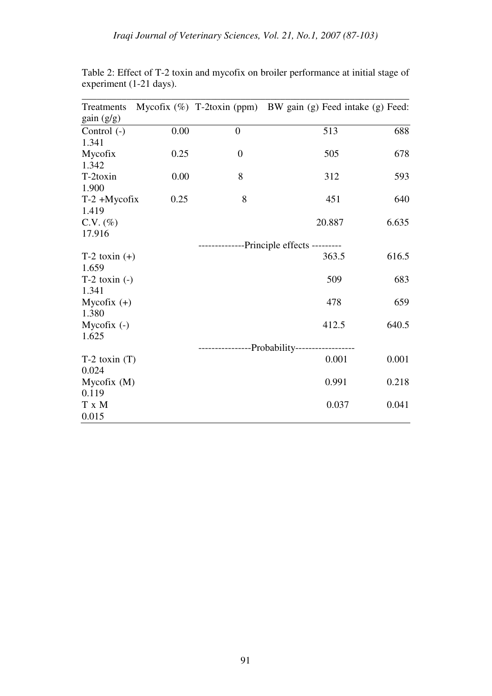| Treatments        |      |                | Mycofix (%) T-2toxin (ppm) BW gain (g) Feed intake (g) Feed: |       |
|-------------------|------|----------------|--------------------------------------------------------------|-------|
| gain(g/g)         |      |                |                                                              |       |
| Control $(-)$     | 0.00 | $\overline{0}$ | 513                                                          | 688   |
| 1.341             |      |                |                                                              |       |
| Mycofix           | 0.25 | $\overline{0}$ | 505                                                          | 678   |
| 1.342             |      |                |                                                              |       |
| T-2toxin          | 0.00 | 8              | 312                                                          | 593   |
| 1.900             |      |                |                                                              |       |
| $T-2 + Mycofix$   | 0.25 | 8              | 451                                                          | 640   |
| 1.419             |      |                |                                                              |       |
| $C.V. (\%)$       |      |                | 20.887                                                       | 6.635 |
| 17.916            |      |                |                                                              |       |
|                   |      |                | --------------Principle effects ---------                    |       |
| $T-2$ toxin $(+)$ |      |                | 363.5                                                        | 616.5 |
| 1.659             |      |                |                                                              |       |
| $T-2$ toxin $(-)$ |      |                | 509                                                          | 683   |
| 1.341             |      |                |                                                              |       |
| Mycofix $(+)$     |      |                | 478                                                          | 659   |
| 1.380             |      |                |                                                              |       |
| Mycofix $(-)$     |      |                | 412.5                                                        | 640.5 |
| 1.625             |      |                |                                                              |       |
|                   |      |                | --------------Probability----------------                    |       |
| $T-2$ toxin $(T)$ |      |                | 0.001                                                        | 0.001 |
| 0.024             |      |                |                                                              |       |
| Mycofix(M)        |      |                | 0.991                                                        | 0.218 |
| 0.119             |      |                |                                                              |       |
| T x M             |      |                | 0.037                                                        | 0.041 |
| 0.015             |      |                |                                                              |       |

Table 2: Effect of T-2 toxin and mycofix on broiler performance at initial stage of experiment (1-21 days).

\_\_\_\_\_\_\_\_\_\_\_\_\_\_\_\_\_\_\_\_\_\_\_\_\_\_\_\_\_\_\_\_\_\_\_\_\_\_\_\_\_\_\_\_\_\_\_\_\_\_\_\_\_\_\_\_\_\_\_\_\_\_\_\_\_\_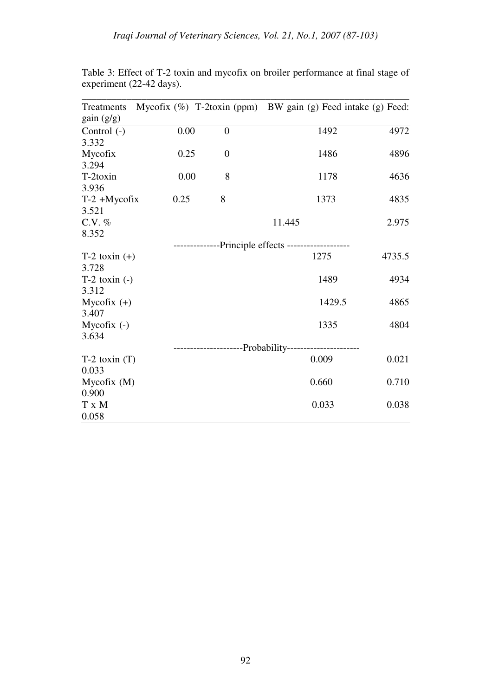| Treatments        |      |                  | Mycofix (%) T-2toxin (ppm) BW gain (g) Feed intake (g) Feed: |        |
|-------------------|------|------------------|--------------------------------------------------------------|--------|
| gain(g/g)         |      |                  |                                                              |        |
| Control $(-)$     | 0.00 | $\boldsymbol{0}$ | 1492                                                         | 4972   |
| 3.332             |      |                  |                                                              |        |
| Mycofix           | 0.25 | $\overline{0}$   | 1486                                                         | 4896   |
| 3.294             |      |                  |                                                              |        |
| T-2toxin          | 0.00 | 8                | 1178                                                         | 4636   |
| 3.936             |      |                  |                                                              |        |
| $T-2 + Mycofix$   | 0.25 | 8                | 1373                                                         | 4835   |
| 3.521             |      |                  |                                                              |        |
| $C.V.$ %          |      |                  | 11.445                                                       | 2.975  |
| 8.352             |      |                  |                                                              |        |
|                   |      |                  | --------------Principle effects -------------------          |        |
| $T-2$ toxin $(+)$ |      |                  | 1275                                                         | 4735.5 |
| 3.728             |      |                  |                                                              |        |
| $T-2$ toxin $(-)$ |      |                  | 1489                                                         | 4934   |
| 3.312             |      |                  |                                                              |        |
| Mycofix $(+)$     |      |                  | 1429.5                                                       | 4865   |
| 3.407             |      |                  |                                                              |        |
| Mycofix $(-)$     |      |                  | 1335                                                         | 4804   |
| 3.634             |      |                  |                                                              |        |
|                   |      |                  | ------------------Probability----------------                |        |
| $T-2$ toxin $(T)$ |      |                  | 0.009                                                        | 0.021  |
| 0.033             |      |                  |                                                              |        |
| Mycofix(M)        |      |                  | 0.660                                                        | 0.710  |
| 0.900             |      |                  |                                                              |        |
| T x M             |      |                  | 0.033                                                        | 0.038  |
| 0.058             |      |                  |                                                              |        |

Table 3: Effect of T-2 toxin and mycofix on broiler performance at final stage of experiment (22-42 days).

\_\_\_\_\_\_\_\_\_\_\_\_\_\_\_\_\_\_\_\_\_\_\_\_\_\_\_\_\_\_\_\_\_\_\_\_\_\_\_\_\_\_\_\_\_\_\_\_\_\_\_\_\_\_\_\_\_\_\_\_\_\_\_\_\_\_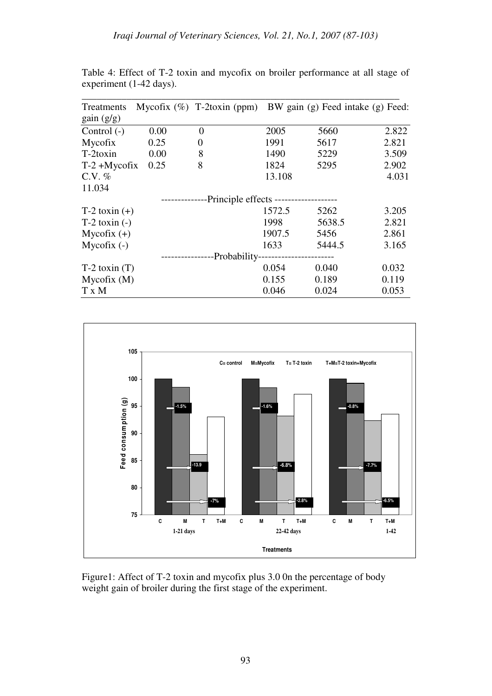| Treatments        |      | Mycofix $(\%)$ T-2toxin (ppm)         |        | BW gain (g) Feed intake (g) Feed: |       |
|-------------------|------|---------------------------------------|--------|-----------------------------------|-------|
| gain (g/g)        |      |                                       |        |                                   |       |
| Control $(-)$     | 0.00 | $\overline{0}$                        | 2005   | 5660                              | 2.822 |
| Mycofix           | 0.25 | $\theta$                              | 1991   | 5617                              | 2.821 |
| T-2toxin          | 0.00 | 8                                     | 1490   | 5229                              | 3.509 |
| $T-2 + Mycofix$   | 0.25 | 8                                     | 1824   | 5295                              | 2.902 |
| $C.V. \%$         |      |                                       | 13.108 |                                   | 4.031 |
| 11.034            |      |                                       |        |                                   |       |
|                   |      | -Principle effects ------------------ |        |                                   |       |
| $T-2$ toxin $(+)$ |      |                                       | 1572.5 | 5262                              | 3.205 |
| $T-2$ toxin $(-)$ |      |                                       | 1998   | 5638.5                            | 2.821 |
| Mycofix $(+)$     |      |                                       | 1907.5 | 5456                              | 2.861 |
| Mycofix $(-)$     |      |                                       | 1633   | 5444.5                            | 3.165 |
|                   |      | -Probability-                         |        |                                   |       |
| $T-2$ toxin $(T)$ |      |                                       | 0.054  | 0.040                             | 0.032 |
| Mycofix(M)        |      |                                       | 0.155  | 0.189                             | 0.119 |
| T x M             |      |                                       | 0.046  | 0.024                             | 0.053 |

Table 4: Effect of T-2 toxin and mycofix on broiler performance at all stage of experiment (1-42 days).



Figure1: Affect of T-2 toxin and mycofix plus 3.0 0n the percentage of body weight gain of broiler during the first stage of the experiment.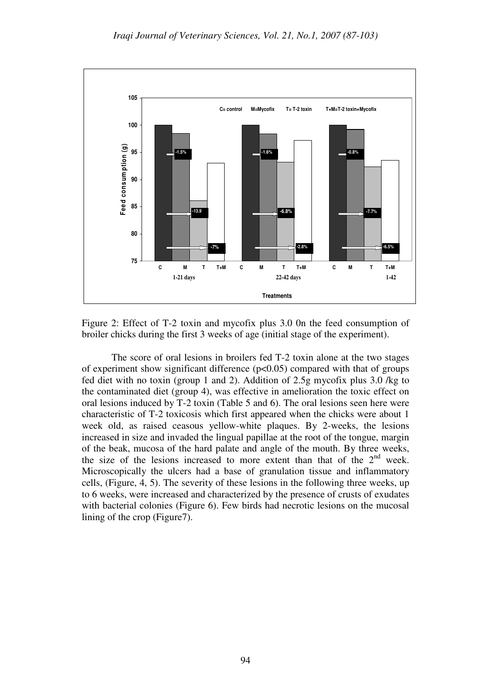

Figure 2: Effect of T-2 toxin and mycofix plus 3.0 0n the feed consumption of broiler chicks during the first 3 weeks of age (initial stage of the experiment).

The score of oral lesions in broilers fed T-2 toxin alone at the two stages of experiment show significant difference  $(p<0.05)$  compared with that of groups fed diet with no toxin (group 1 and 2). Addition of 2.5g mycofix plus 3.0 /kg to the contaminated diet (group 4), was effective in amelioration the toxic effect on oral lesions induced by T-2 toxin (Table 5 and 6). The oral lesions seen here were characteristic of T-2 toxicosis which first appeared when the chicks were about 1 week old, as raised ceasous yellow-white plaques. By 2-weeks, the lesions increased in size and invaded the lingual papillae at the root of the tongue, margin of the beak, mucosa of the hard palate and angle of the mouth. By three weeks, the size of the lesions increased to more extent than that of the  $2<sup>nd</sup>$  week. Microscopically the ulcers had a base of granulation tissue and inflammatory cells, (Figure, 4, 5). The severity of these lesions in the following three weeks, up to 6 weeks, were increased and characterized by the presence of crusts of exudates with bacterial colonies (Figure 6). Few birds had necrotic lesions on the mucosal lining of the crop (Figure7).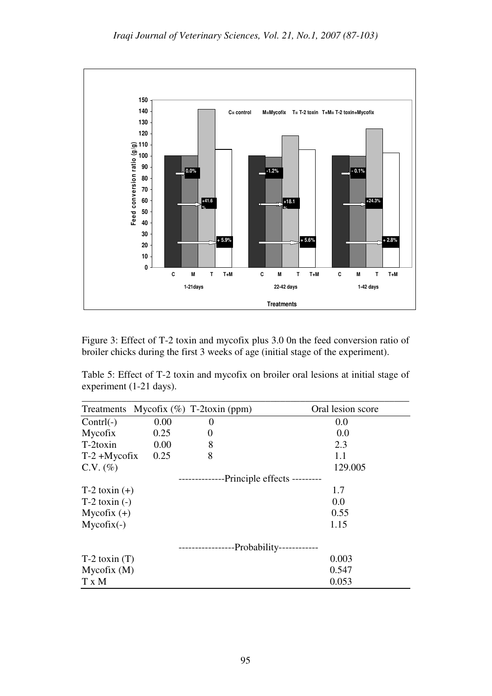

Figure 3: Effect of T-2 toxin and mycofix plus 3.0 0n the feed conversion ratio of broiler chicks during the first 3 weeks of age (initial stage of the experiment).

Table 5: Effect of T-2 toxin and mycofix on broiler oral lesions at initial stage of experiment (1-21 days).

|                   |      | Treatments Mycofix $(\%)$ T-2toxin (ppm) | Oral lesion score |
|-------------------|------|------------------------------------------|-------------------|
| $Control(-)$      | 0.00 | $\theta$                                 | 0.0               |
| Mycofix           | 0.25 | 0                                        | 0.0               |
| $T-2$ toxin       | 0.00 | 8                                        | 2.3               |
| $T-2 + Mycofix$   | 0.25 | 8                                        | 1.1               |
| $C.V. (\%)$       |      |                                          | 129.005           |
|                   |      | -Principle effects ---------             |                   |
| $T-2$ toxin $(+)$ |      |                                          | 1.7               |
| $T-2$ toxin $(-)$ |      |                                          | 0.0               |
| Mycofix $(+)$     |      |                                          | 0.55              |
| $Mycofix(-)$      |      |                                          | 1.15              |
|                   |      | -Probability-                            |                   |
| $T-2$ toxin $(T)$ |      |                                          | 0.003             |
| Mycofix(M)        |      |                                          | 0.547             |
| T x M             |      |                                          | 0.053             |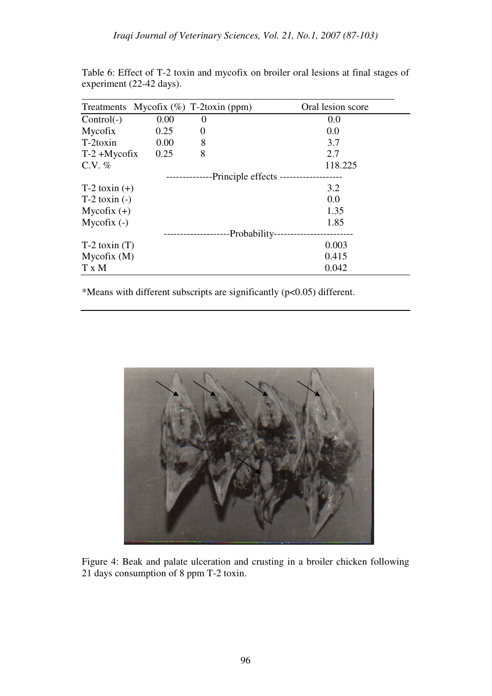|                   |      | Treatments Mycofix $(\%)$ T-2toxin (ppm) | Oral lesion score |
|-------------------|------|------------------------------------------|-------------------|
| $Control(-)$      | 0.00 | $\theta$                                 | 0.0               |
| Mycofix           | 0.25 | $\theta$                                 | 0.0               |
| $T-2$ toxin       | 0.00 | 8                                        | 3.7               |
| $T-2 + Mycofix$   | 0.25 | 8                                        | 2.7               |
| $C.V. \%$         |      |                                          | 118.225           |
|                   |      | -Principle effects -                     |                   |
| $T-2$ toxin $(+)$ |      |                                          | 3.2               |
| $T-2$ toxin $(-)$ |      |                                          | 0.0               |
| Mycofix $(+)$     |      |                                          | 1.35              |
| Mycofix $(-)$     |      |                                          | 1.85              |
|                   |      |                                          | -Probability-     |
| $T-2$ toxin $(T)$ |      |                                          | 0.003             |
| Mycofix(M)        |      |                                          | 0.415             |
| T x M             |      |                                          | 0.042             |

Table 6: Effect of T-2 toxin and mycofix on broiler oral lesions at final stages of experiment (22-42 days).

\*Means with different subscripts are significantly (p<0.05) different.



Figure 4: Beak and palate ulceration and crusting in a broiler chicken following 21 days consumption of 8 ppm T-2 toxin.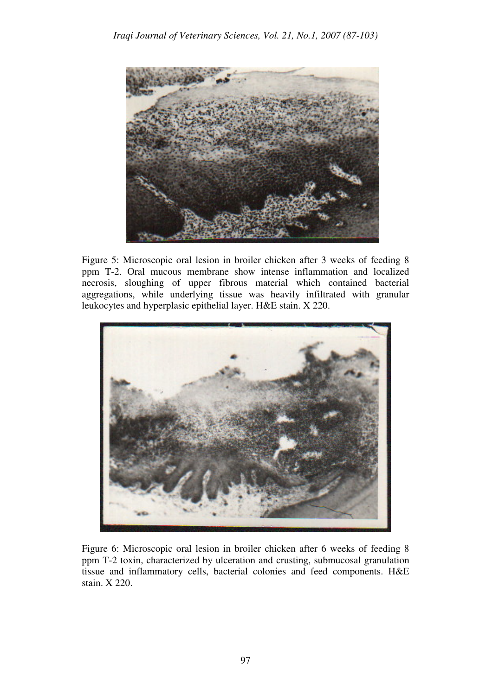

Figure 5: Microscopic oral lesion in broiler chicken after 3 weeks of feeding 8 ppm T-2. Oral mucous membrane show intense inflammation and localized necrosis, sloughing of upper fibrous material which contained bacterial aggregations, while underlying tissue was heavily infiltrated with granular leukocytes and hyperplasic epithelial layer. H&E stain. X 220.



Figure 6: Microscopic oral lesion in broiler chicken after 6 weeks of feeding 8 ppm T-2 toxin, characterized by ulceration and crusting, submucosal granulation tissue and inflammatory cells, bacterial colonies and feed components. H&E stain. X 220.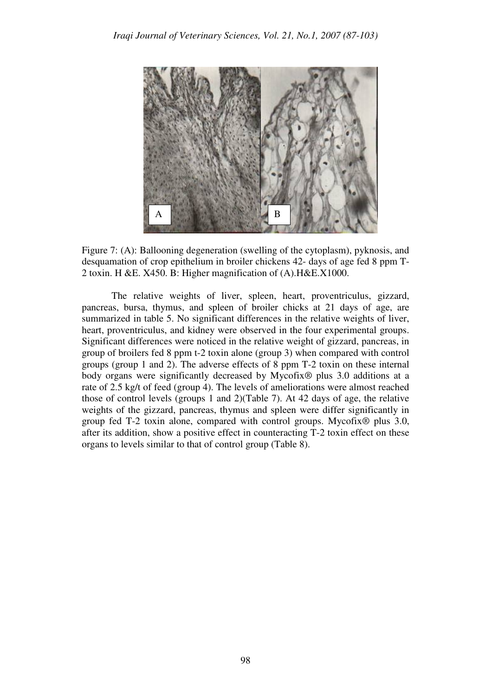

Figure 7: (A): Ballooning degeneration (swelling of the cytoplasm), pyknosis, and desquamation of crop epithelium in broiler chickens 42- days of age fed 8 ppm T-2 toxin. H &E. X450. B: Higher magnification of (A).H&E.X1000.

The relative weights of liver, spleen, heart, proventriculus, gizzard, pancreas, bursa, thymus, and spleen of broiler chicks at 21 days of age, are summarized in table 5. No significant differences in the relative weights of liver, heart, proventriculus, and kidney were observed in the four experimental groups. Significant differences were noticed in the relative weight of gizzard, pancreas, in group of broilers fed 8 ppm t-2 toxin alone (group 3) when compared with control groups (group 1 and 2). The adverse effects of 8 ppm T-2 toxin on these internal body organs were significantly decreased by Mycofix® plus 3.0 additions at a rate of 2.5 kg/t of feed (group 4). The levels of ameliorations were almost reached those of control levels (groups 1 and 2)(Table 7). At 42 days of age, the relative weights of the gizzard, pancreas, thymus and spleen were differ significantly in group fed T-2 toxin alone, compared with control groups. Mycofix® plus 3.0, after its addition, show a positive effect in counteracting T-2 toxin effect on these organs to levels similar to that of control group (Table 8).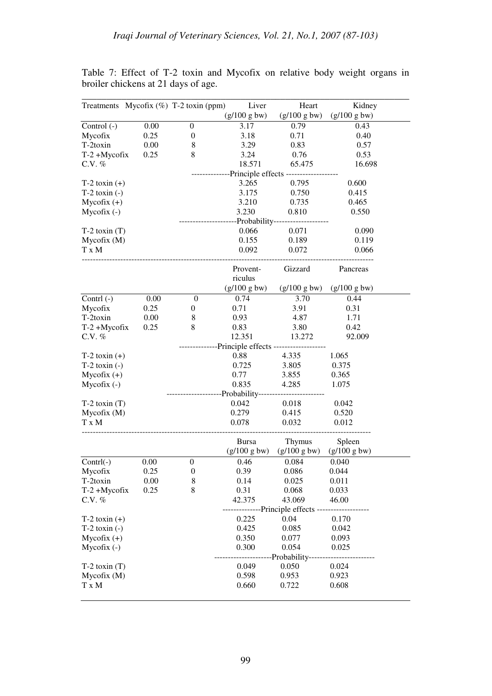|                   |                                         | Treatments Mycofix (%) T-2 toxin (ppm)                | Liver        | Heart                                   | Kidney       |  |  |  |
|-------------------|-----------------------------------------|-------------------------------------------------------|--------------|-----------------------------------------|--------------|--|--|--|
|                   |                                         |                                                       | (g/100 g bw) | (g/100 g bw)                            | (g/100 g bw) |  |  |  |
| Control $(-)$     | 0.00                                    | $\mathbf{0}$                                          | 3.17         | 0.79                                    | 0.43         |  |  |  |
| Mycofix           | 0.25                                    | $\boldsymbol{0}$                                      | 3.18         | 0.71                                    | 0.40         |  |  |  |
| T-2toxin          | 0.00                                    | $\,$ 8 $\,$                                           | 3.29         | 0.83                                    | 0.57         |  |  |  |
| $T-2 + Mycofix$   | 0.25                                    | 8                                                     | 3.24         | 0.76                                    | 0.53         |  |  |  |
| C.V. %            |                                         |                                                       | 18.571       | 65.475                                  | 16.698       |  |  |  |
|                   | -Principle effects ---------------      |                                                       |              |                                         |              |  |  |  |
| $T-2$ toxin $(+)$ |                                         |                                                       | 3.265        | 0.795                                   | 0.600        |  |  |  |
| $T-2$ toxin $(-)$ |                                         |                                                       | 3.175        | 0.750                                   | 0.415        |  |  |  |
| $Mycofix (+)$     |                                         |                                                       | 3.210        | 0.735                                   | 0.465        |  |  |  |
| $Mycofix(-)$      |                                         |                                                       | 3.230        | 0.810                                   | 0.550        |  |  |  |
|                   |                                         |                                                       |              | -Probability-----------------           |              |  |  |  |
| $T-2$ toxin $(T)$ |                                         |                                                       | 0.066        | 0.071                                   | 0.090        |  |  |  |
| Mycofix (M)       |                                         |                                                       | 0.155        | 0.189                                   | 0.119        |  |  |  |
| T x M             |                                         |                                                       | 0.092        | 0.072                                   | 0.066        |  |  |  |
|                   |                                         |                                                       | Provent-     | Gizzard                                 | Pancreas     |  |  |  |
|                   |                                         |                                                       | riculus      |                                         |              |  |  |  |
|                   |                                         |                                                       | (g/100 g bw) | (g/100 g bw)                            | (g/100 g bw) |  |  |  |
| Contrl $(-)$      | 0.00                                    | $\boldsymbol{0}$                                      | 0.74         | 3.70                                    | 0.44         |  |  |  |
| Mycofix           | 0.25                                    | 0                                                     | 0.71         | 3.91                                    | 0.31         |  |  |  |
| T-2toxin          | 0.00                                    | $\,8\,$                                               | 0.93         | 4.87                                    | 1.71         |  |  |  |
| T-2+Mycofix       | 0.25                                    | 8                                                     | 0.83         | 3.80                                    | 0.42         |  |  |  |
| C.V. %            |                                         |                                                       | 12.351       | 13.272                                  | 92.009       |  |  |  |
|                   |                                         |                                                       |              | --Principle effects ------------------- |              |  |  |  |
| $T-2$ toxin $(+)$ |                                         |                                                       | 0.88         | 4.335                                   | 1.065        |  |  |  |
| $T-2$ toxin $(-)$ |                                         |                                                       | 0.725        | 3.805                                   | 0.375        |  |  |  |
| $Mycofix (+)$     |                                         |                                                       | 0.77         | 3.855                                   | 0.365        |  |  |  |
| $Mycofix(-)$      |                                         |                                                       | 0.835        | 4.285                                   | 1.075        |  |  |  |
|                   |                                         | --------------------Probability---------------------- |              |                                         |              |  |  |  |
| $T-2$ toxin $(T)$ |                                         |                                                       | 0.042        | 0.018                                   | 0.042        |  |  |  |
| Mycofix (M)       |                                         |                                                       | 0.279        | 0.415                                   | 0.520        |  |  |  |
| T x M             |                                         |                                                       | 0.078        | 0.032                                   | 0.012        |  |  |  |
|                   |                                         |                                                       | <b>Bursa</b> | Thymus                                  | Spleen       |  |  |  |
|                   |                                         |                                                       | (g/100 g bw) | (g/100 g bw)                            | (g/100 g bw) |  |  |  |
| $Contrl(-)$       | 0.00                                    | $\boldsymbol{0}$                                      | 0.46         | 0.084                                   | 0.040        |  |  |  |
| Mycofix           | 0.25                                    | $\boldsymbol{0}$                                      | 0.39         | 0.086                                   | 0.044        |  |  |  |
| T-2toxin          | 0.00                                    | $\,8\,$                                               | 0.14         | 0.025                                   | 0.011        |  |  |  |
| $T-2 + Mycofix$   | 0.25                                    | 8                                                     | 0.31         | 0.068                                   | 0.033        |  |  |  |
| C.V. $%$          |                                         |                                                       | 42.375       | 43.069                                  | 46.00        |  |  |  |
|                   | ------------Principle effects --------- |                                                       |              |                                         |              |  |  |  |
| $T-2$ toxin $(+)$ |                                         |                                                       | 0.225        | 0.04                                    | 0.170        |  |  |  |
| $T-2$ toxin $(-)$ |                                         |                                                       | 0.425        | 0.085                                   | 0.042        |  |  |  |
| $Mycofix (+)$     |                                         |                                                       | 0.350        | 0.077                                   | 0.093        |  |  |  |
| $Mycofix(-)$      |                                         |                                                       | 0.300        | 0.054                                   | 0.025        |  |  |  |
|                   | -Probability--                          |                                                       |              |                                         |              |  |  |  |
| $T-2$ toxin $(T)$ |                                         |                                                       | 0.049        | 0.050                                   | 0.024        |  |  |  |
| Mycofix(M)        |                                         |                                                       | 0.598        | 0.953                                   | 0.923        |  |  |  |
| T x M             |                                         |                                                       | 0.660        | 0.722                                   | 0.608        |  |  |  |
|                   |                                         |                                                       |              |                                         |              |  |  |  |

Table 7: Effect of T-2 toxin and Mycofix on relative body weight organs in broiler chickens at 21 days of age.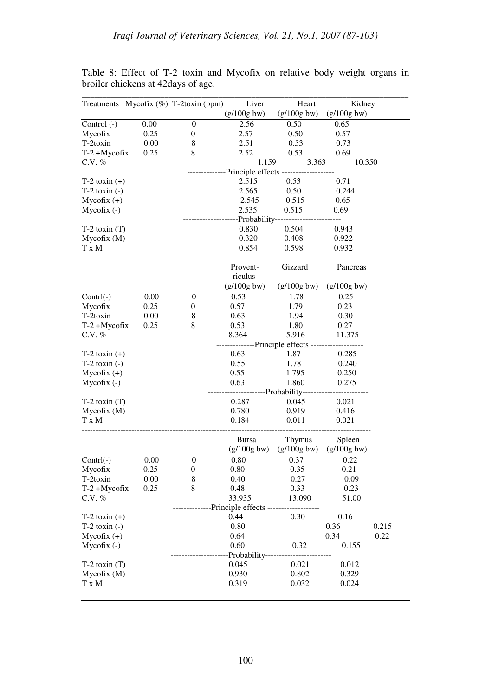|                   |      | Treatments Mycofix (%) T-2toxin (ppm) | Liver                                     | Heart                                | Kidney        |       |
|-------------------|------|---------------------------------------|-------------------------------------------|--------------------------------------|---------------|-------|
|                   |      |                                       | $(g/100g$ bw)                             | $(g/100g$ bw)                        | $(g/100g$ bw) |       |
| Control (-)       | 0.00 | $\boldsymbol{0}$                      | 2.56                                      | 0.50                                 | 0.65          |       |
| Mycofix           | 0.25 | $\boldsymbol{0}$                      | 2.57                                      | 0.50                                 | 0.57          |       |
| T-2toxin          | 0.00 | $\,8\,$                               | 2.51                                      | 0.53                                 | 0.73          |       |
| $T-2 + Mycofix$   | 0.25 | 8                                     | 2.52                                      | 0.53                                 | 0.69          |       |
| C.V. $%$          |      |                                       | 1.159                                     | 3.363                                | 10.350        |       |
|                   |      |                                       | --------------Principle effects --------- |                                      |               |       |
| $T-2$ toxin $(+)$ |      |                                       | 2.515                                     | 0.53                                 | 0.71          |       |
| $T-2$ toxin $(-)$ |      |                                       | 2.565                                     | 0.50                                 | 0.244         |       |
| $Mycofix (+)$     |      |                                       | 2.545                                     | 0.515                                | 0.65          |       |
| Mycofix (-)       |      |                                       | 2.535                                     | 0.515                                | 0.69          |       |
|                   |      |                                       | -Probability--                            | ---------                            |               |       |
| $T-2$ toxin $(T)$ |      |                                       | 0.830                                     | 0.504                                | 0.943         |       |
| Mycofix (M)       |      |                                       | 0.320                                     | 0.408                                | 0.922         |       |
| T x M             |      |                                       | 0.854                                     | 0.598                                | 0.932         |       |
|                   |      |                                       | Provent-<br>riculus                       | Gizzard                              | Pancreas      |       |
|                   |      |                                       | $(g/100g$ bw)                             | $(g/100g$ bw)                        | $(g/100g$ bw) |       |
| $Contrl(-)$       | 0.00 | $\boldsymbol{0}$                      | 0.53                                      | 1.78                                 | 0.25          |       |
| Mycofix           | 0.25 | $\boldsymbol{0}$                      | 0.57                                      | 1.79                                 | 0.23          |       |
| T-2toxin          | 0.00 | $\,$ 8 $\,$                           | 0.63                                      | 1.94                                 | 0.30          |       |
| $T-2 + Mycofix$   | 0.25 | 8                                     | 0.53                                      | 1.80                                 | 0.27          |       |
| C.V. $%$          |      |                                       | 8.364                                     | 5.916                                | 11.375        |       |
|                   |      |                                       |                                           | ----------Principle effects -------- |               |       |
| $T-2$ toxin $(+)$ |      |                                       | 0.63                                      | 1.87                                 | 0.285         |       |
| $T-2$ toxin $(-)$ |      |                                       | 0.55                                      | 1.78                                 | 0.240         |       |
| $Mycofix (+)$     |      |                                       | 0.55                                      | 1.795                                | 0.250         |       |
| $Mycofix(-)$      |      |                                       | 0.63                                      | 1.860                                | 0.275         |       |
|                   |      |                                       |                                           | ---Probability------                 |               |       |
| $T-2$ toxin $(T)$ |      |                                       | 0.287                                     | 0.045                                | 0.021         |       |
| Mycofix (M)       |      |                                       | 0.780                                     | 0.919                                | 0.416         |       |
| T x M             |      |                                       | 0.184                                     | 0.011                                | 0.021         |       |
|                   |      |                                       |                                           |                                      |               |       |
|                   |      |                                       | <b>Bursa</b>                              | Thymus                               | Spleen        |       |
|                   |      |                                       | $(g/100g$ bw)                             | $(g/100g$ bw)                        | $(g/100g$ bw) |       |
| $Control(-)$      | 0.00 | $\boldsymbol{0}$                      | 0.80                                      | 0.37                                 | 0.22          |       |
| Mycofix           | 0.25 | $\boldsymbol{0}$                      | 0.80                                      | 0.35                                 | 0.21          |       |
| T-2toxin          | 0.00 | 8                                     | 0.40                                      | 0.27                                 | 0.09          |       |
| $T-2 + Mycofix$   | 0.25 | 8                                     | 0.48                                      | 0.33                                 | 0.23          |       |
| C.V. $%$          |      |                                       | 33.935                                    | 13.090                               | 51.00         |       |
|                   |      |                                       | -----Principle effects -------            |                                      |               |       |
| $T-2$ toxin $(+)$ |      |                                       | 0.44                                      | 0.30                                 | 0.16          |       |
| $T-2$ toxin $(-)$ |      |                                       | 0.80                                      |                                      | 0.36          | 0.215 |
| $Mycofix (+)$     |      |                                       | 0.64                                      |                                      | 0.34          | 0.22  |
| Mycofix (-)       |      |                                       | 0.60                                      | 0.32                                 | 0.155         |       |
|                   |      |                                       | Probability-------                        |                                      |               |       |
| $T-2$ toxin $(T)$ |      |                                       | 0.045                                     | 0.021                                | 0.012         |       |
| Mycofix(M)        |      |                                       | 0.930                                     | 0.802                                | 0.329         |       |
| T x M             |      |                                       | 0.319                                     | 0.032                                | 0.024         |       |
|                   |      |                                       |                                           |                                      |               |       |

Table 8: Effect of T-2 toxin and Mycofix on relative body weight organs in broiler chickens at 42days of age.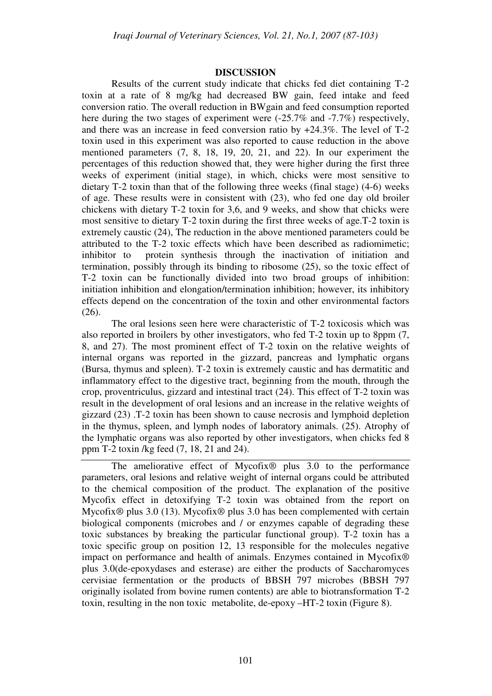### **DISCUSSION**

Results of the current study indicate that chicks fed diet containing T-2 toxin at a rate of 8 mg/kg had decreased BW gain, feed intake and feed conversion ratio. The overall reduction in BWgain and feed consumption reported here during the two stages of experiment were  $(-25.7\%$  and  $-7.7\%)$  respectively, and there was an increase in feed conversion ratio by +24.3%. The level of T-2 toxin used in this experiment was also reported to cause reduction in the above mentioned parameters (7, 8, 18, 19, 20, 21, and 22). In our experiment the percentages of this reduction showed that, they were higher during the first three weeks of experiment (initial stage), in which, chicks were most sensitive to dietary T-2 toxin than that of the following three weeks (final stage) (4-6) weeks of age. These results were in consistent with (23), who fed one day old broiler chickens with dietary T-2 toxin for 3,6, and 9 weeks, and show that chicks were most sensitive to dietary T-2 toxin during the first three weeks of age.T-2 toxin is extremely caustic (24), The reduction in the above mentioned parameters could be attributed to the T-2 toxic effects which have been described as radiomimetic; inhibitor to protein synthesis through the inactivation of initiation and termination, possibly through its binding to ribosome (25), so the toxic effect of T-2 toxin can be functionally divided into two broad groups of inhibition: initiation inhibition and elongation/termination inhibition; however, its inhibitory effects depend on the concentration of the toxin and other environmental factors (26).

The oral lesions seen here were characteristic of T-2 toxicosis which was also reported in broilers by other investigators, who fed T-2 toxin up to 8ppm (7, 8, and 27). The most prominent effect of T-2 toxin on the relative weights of internal organs was reported in the gizzard, pancreas and lymphatic organs (Bursa, thymus and spleen). T-2 toxin is extremely caustic and has dermatitic and inflammatory effect to the digestive tract, beginning from the mouth, through the crop, proventriculus, gizzard and intestinal tract (24). This effect of T-2 toxin was result in the development of oral lesions and an increase in the relative weights of gizzard (23) .T-2 toxin has been shown to cause necrosis and lymphoid depletion in the thymus, spleen, and lymph nodes of laboratory animals. (25). Atrophy of the lymphatic organs was also reported by other investigators, when chicks fed 8 ppm T-2 toxin /kg feed (7, 18, 21 and 24).

The ameliorative effect of Mycofix® plus 3.0 to the performance parameters, oral lesions and relative weight of internal organs could be attributed to the chemical composition of the product. The explanation of the positive Mycofix effect in detoxifying T-2 toxin was obtained from the report on Mycofix® plus 3.0 (13). Mycofix® plus 3.0 has been complemented with certain biological components (microbes and / or enzymes capable of degrading these toxic substances by breaking the particular functional group). T-2 toxin has a toxic specific group on position 12, 13 responsible for the molecules negative impact on performance and health of animals. Enzymes contained in Mycofix® plus 3.0(de-epoxydases and esterase) are either the products of Saccharomyces cervisiae fermentation or the products of BBSH 797 microbes (BBSH 797 originally isolated from bovine rumen contents) are able to biotransformation T-2 toxin, resulting in the non toxic metabolite, de-epoxy –HT-2 toxin (Figure 8).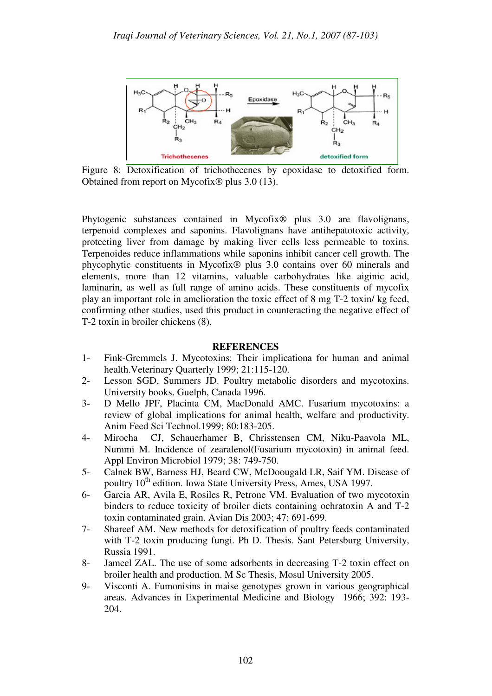

Figure 8: Detoxification of trichothecenes by epoxidase to detoxified form. Obtained from report on Mycofix® plus 3.0 (13).

Phytogenic substances contained in Mycofix® plus 3.0 are flavolignans, terpenoid complexes and saponins. Flavolignans have antihepatotoxic activity, protecting liver from damage by making liver cells less permeable to toxins. Terpenoides reduce inflammations while saponins inhibit cancer cell growth. The phycophytic constituents in Mycofix® plus 3.0 contains over 60 minerals and elements, more than 12 vitamins, valuable carbohydrates like aiginic acid, laminarin, as well as full range of amino acids. These constituents of mycofix play an important role in amelioration the toxic effect of 8 mg T-2 toxin/ kg feed, confirming other studies, used this product in counteracting the negative effect of T-2 toxin in broiler chickens (8).

### **REFERENCES**

- 1- Fink-Gremmels J. Mycotoxins: Their implicationa for human and animal health.Veterinary Quarterly 1999; 21:115-120.
- 2- Lesson SGD, Summers JD. Poultry metabolic disorders and mycotoxins. University books, Guelph, Canada 1996.
- 3- D Mello JPF, Placinta CM, MacDonald AMC. Fusarium mycotoxins: a review of global implications for animal health, welfare and productivity. Anim Feed Sci Technol.1999; 80:183-205.
- 4- Mirocha CJ, Schauerhamer B, Chrisstensen CM, Niku-Paavola ML, Nummi M. Incidence of zearalenol(Fusarium mycotoxin) in animal feed. Appl Environ Microbiol 1979; 38: 749-750.
- 5- Calnek BW, Barness HJ, Beard CW, McDoougald LR, Saif YM. Disease of poultry 10<sup>th</sup> edition. Iowa State University Press, Ames, USA 1997.
- 6- Garcia AR, Avila E, Rosiles R, Petrone VM. Evaluation of two mycotoxin binders to reduce toxicity of broiler diets containing ochratoxin A and T-2 toxin contaminated grain. Avian Dis 2003; 47: 691-699.
- 7- Shareef AM. New methods for detoxification of poultry feeds contaminated with T-2 toxin producing fungi. Ph D. Thesis. Sant Petersburg University, Russia 1991.
- 8- Jameel ZAL. The use of some adsorbents in decreasing T-2 toxin effect on broiler health and production. M Sc Thesis, Mosul University 2005.
- 9- Visconti A. Fumonisins in maise genotypes grown in various geographical areas. Advances in Experimental Medicine and Biology 1966; 392: 193- 204.